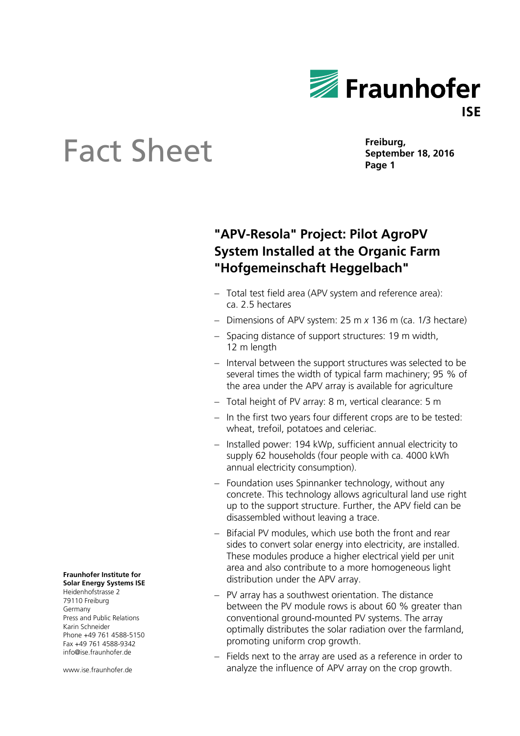

# **Sheet Eact Sheet Page 1**

**Freiburg,**

### **"APV-Resola" Project: Pilot AgroPV System Installed at the Organic Farm "Hofgemeinschaft Heggelbach"**

- Total test field area (APV system and reference area): ca. 2.5 hectares
- Dimensions of APV system: 25 m x 136 m (ca. 1/3 hectare)
- Spacing distance of support structures: 19 m width, 12 m length
- Interval between the support structures was selected to be several times the width of typical farm machinery; 95 % of the area under the APV array is available for agriculture
- Total height of PV array: 8 m, vertical clearance: 5 m
- $-$  In the first two years four different crops are to be tested: wheat, trefoil, potatoes and celeriac.
- Installed power: 194 kWp, sufficient annual electricity to supply 62 households (four people with ca. 4000 kWh annual electricity consumption).
- Foundation uses Spinnanker technology, without any concrete. This technology allows agricultural land use right up to the support structure. Further, the APV field can be disassembled without leaving a trace.
- Bifacial PV modules, which use both the front and rear sides to convert solar energy into electricity, are installed. These modules produce a higher electrical yield per unit area and also contribute to a more homogeneous light distribution under the APV array.
- PV array has a southwest orientation. The distance between the PV module rows is about 60 % greater than conventional ground-mounted PV systems. The array optimally distributes the solar radiation over the farmland, promoting uniform crop growth.
- $-$  Fields next to the array are used as a reference in order to analyze the influence of APV array on the crop growth.

#### **Fraunhofer Institute for Solar Energy Systems ISE**

Heidenhofstrasse 2 79110 Freiburg Germany Press and Public Relations Karin Schneider Phone +49 761 4588-5150 Fax +49 761 4588-9342 info@ise.fraunhofer.de

www.ise.fraunhofer.de